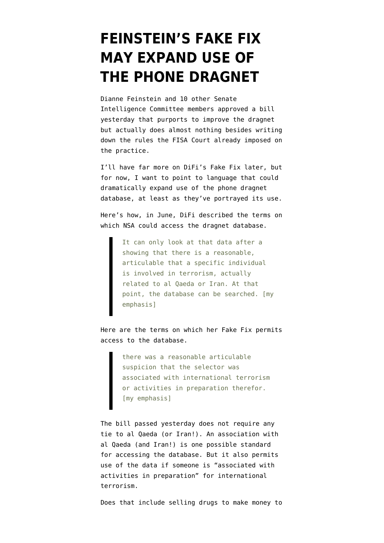## **[FEINSTEIN'S FAKE FIX](https://www.emptywheel.net/2013/11/01/feinsteins-fake-fix-may-expand-use-of-the-phone-dragnet/) [MAY EXPAND USE OF](https://www.emptywheel.net/2013/11/01/feinsteins-fake-fix-may-expand-use-of-the-phone-dragnet/) [THE PHONE DRAGNET](https://www.emptywheel.net/2013/11/01/feinsteins-fake-fix-may-expand-use-of-the-phone-dragnet/)**

Dianne Feinstein and 10 other Senate Intelligence Committee members approved [a bill](http://www.intelligence.senate.gov/pdfs113th/113fisa_improvements.pdf) yesterday that purports to improve the dragnet but actually does almost nothing besides writing down the rules the FISA Court already imposed on the practice.

I'll have far more on DiFi's Fake Fix later, but for now, I want to point to language that could dramatically expand use of the phone dragnet database, at least as they've portrayed its use.

Here's how, in June, DiFi [described](http://www.emptywheel.net/2013/06/12/breaking-iran-is-a-terrorist-organization/) the terms on which NSA could access the dragnet database.

> It can only look at that data after a showing that there is a reasonable, articulable that a specific individual is involved in terrorism, actually related to al Qaeda or Iran. At that point, the database can be searched. [my emphasis]

Here are the terms on which her Fake Fix permits access to the database.

> there was a reasonable articulable suspicion that the selector was associated with international terrorism or activities in preparation therefor. [my emphasis]

The bill passed yesterday does not require any tie to al Qaeda (or Iran!). An association with al Qaeda (and Iran!) is one possible standard for accessing the database. But it also permits use of the data if someone is "associated with activities in preparation" for international terrorism.

Does that include selling drugs to make money to